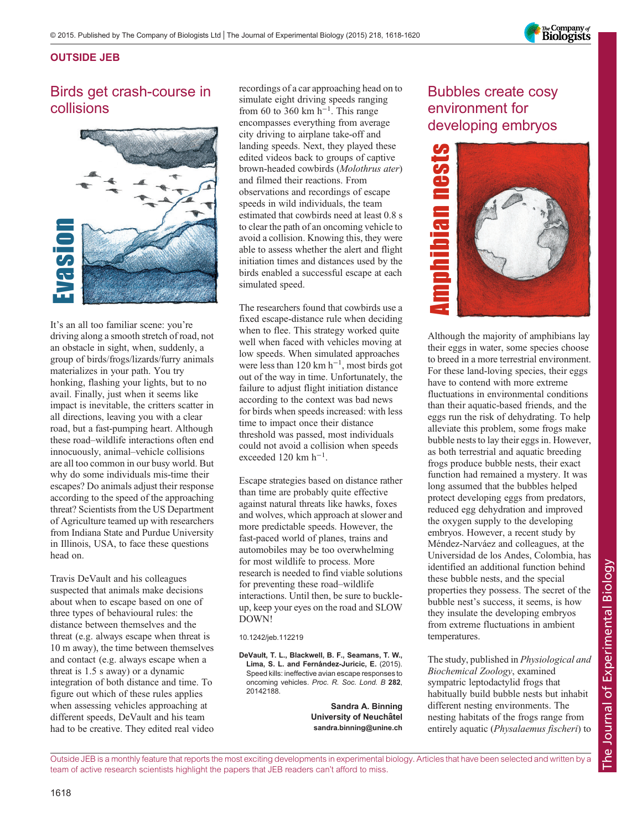

#### OUTSIDE JEB

### Birds get crash-course in collisions



It's an all too familiar scene: you're driving along a smooth stretch of road, not an obstacle in sight, when, suddenly, a group of birds/frogs/lizards/furry animals materializes in your path. You try honking, flashing your lights, but to no avail. Finally, just when it seems like impact is inevitable, the critters scatter in all directions, leaving you with a clear road, but a fast-pumping heart. Although these road–wildlife interactions often end innocuously, animal–vehicle collisions are all too common in our busy world. But why do some individuals mis-time their escapes? Do animals adjust their response according to the speed of the approaching threat? Scientists from the US Department of Agriculture teamed up with researchers from Indiana State and Purdue University in Illinois, USA, to face these questions head on.

Travis DeVault and his colleagues suspected that animals make decisions about when to escape based on one of three types of behavioural rules: the distance between themselves and the threat (e.g. always escape when threat is 10 m away), the time between themselves and contact (e.g. always escape when a threat is 1.5 s away) or a dynamic integration of both distance and time. To figure out which of these rules applies when assessing vehicles approaching at different speeds, DeVault and his team had to be creative. They edited real video

recordings of a car approaching head on to simulate eight driving speeds ranging from 60 to 360 km h<sup>-1</sup>. This range encompasses everything from average city driving to airplane take-off and landing speeds. Next, they played these edited videos back to groups of captive brown-headed cowbirds (Molothrus ater) and filmed their reactions. From observations and recordings of escape speeds in wild individuals, the team estimated that cowbirds need at least 0.8 s to clear the path of an oncoming vehicle to avoid a collision. Knowing this, they were able to assess whether the alert and flight initiation times and distances used by the birds enabled a successful escape at each simulated speed.

The researchers found that cowbirds use a fixed escape-distance rule when deciding when to flee. This strategy worked quite well when faced with vehicles moving at low speeds. When simulated approaches were less than 120 km  $h^{-1}$ , most birds got out of the way in time. Unfortunately, the failure to adjust flight initiation distance according to the context was bad news for birds when speeds increased: with less time to impact once their distance threshold was passed, most individuals could not avoid a collision when speeds exceeded 120 km h−<sup>1</sup> .

Escape strategies based on distance rather than time are probably quite effective against natural threats like hawks, foxes and wolves, which approach at slower and more predictable speeds. However, the fast-paced world of planes, trains and automobiles may be too overwhelming for most wildlife to process. More research is needed to find viable solutions for preventing these road–wildlife interactions. Until then, be sure to buckleup, keep your eyes on the road and SLOW DOWN!

10.1242/jeb.112219

[DeVault, T. L., Blackwell, B. F., Seamans, T. W.,](http://dx.doi.org/10.1098/rspb.2014.2188) Lima, S. L. and Fernández-Juricic, E. (2015). [Speed kills: ineffective avian escape responses to](http://dx.doi.org/10.1098/rspb.2014.2188) oncoming vehicles. [Proc. R. Soc. Lond. B](http://dx.doi.org/10.1098/rspb.2014.2188) 282, [20142188.](http://dx.doi.org/10.1098/rspb.2014.2188)

> Sandra A. Binning University of Neuchâtel sandra.binning@unine.ch

# Bubbles create cosy environment for developing embryos



Although the majority of amphibians lay their eggs in water, some species choose to breed in a more terrestrial environment. For these land-loving species, their eggs have to contend with more extreme fluctuations in environmental conditions than their aquatic-based friends, and the eggs run the risk of dehydrating. To help alleviate this problem, some frogs make bubble nests to lay their eggs in. However, as both terrestrial and aquatic breeding frogs produce bubble nests, their exact function had remained a mystery. It was long assumed that the bubbles helped protect developing eggs from predators, reduced egg dehydration and improved the oxygen supply to the developing embryos. However, a recent study by Méndez-Narváez and colleagues, at the Universidad de los Andes, Colombia, has identified an additional function behind these bubble nests, and the special properties they possess. The secret of the bubble nest's success, it seems, is how they insulate the developing embryos from extreme fluctuations in ambient temperatures.

The study, published in Physiological and Biochemical Zoology, examined sympatric leptodactylid frogs that habitually build bubble nests but inhabit different nesting environments. The nesting habitats of the frogs range from entirely aquatic (Physalaemus fischeri) to

Outside JEB is a monthly feature that reports the most exciting developments in experimental biology. Articles that have been selected and written by a team of active research scientists highlight the papers that JEB readers can't afford to miss.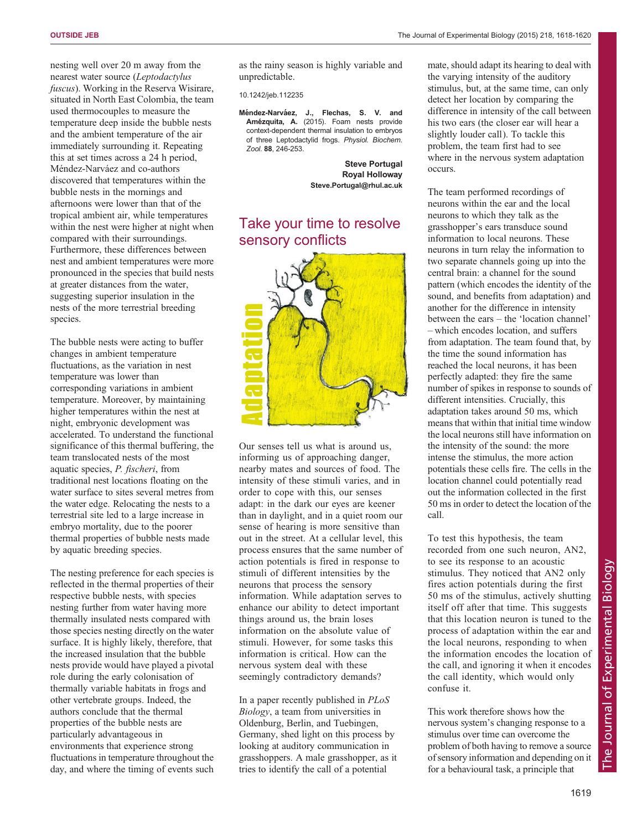nesting well over 20 m away from the nearest water source (Leptodactylus fuscus). Working in the Reserva Wisirare, situated in North East Colombia, the team used thermocouples to measure the temperature deep inside the bubble nests and the ambient temperature of the air immediately surrounding it. Repeating this at set times across a 24 h period, Méndez-Narváez and co-authors discovered that temperatures within the bubble nests in the mornings and afternoons were lower than that of the tropical ambient air, while temperatures within the nest were higher at night when compared with their surroundings. Furthermore, these differences between nest and ambient temperatures were more pronounced in the species that build nests at greater distances from the water, suggesting superior insulation in the nests of the more terrestrial breeding species.

The bubble nests were acting to buffer changes in ambient temperature fluctuations, as the variation in nest temperature was lower than corresponding variations in ambient temperature. Moreover, by maintaining higher temperatures within the nest at night, embryonic development was accelerated. To understand the functional significance of this thermal buffering, the team translocated nests of the most aquatic species, P. fischeri, from traditional nest locations floating on the water surface to sites several metres from the water edge. Relocating the nests to a terrestrial site led to a large increase in embryo mortality, due to the poorer thermal properties of bubble nests made by aquatic breeding species.

The nesting preference for each species is reflected in the thermal properties of their respective bubble nests, with species nesting further from water having more thermally insulated nests compared with those species nesting directly on the water surface. It is highly likely, therefore, that the increased insulation that the bubble nests provide would have played a pivotal role during the early colonisation of thermally variable habitats in frogs and other vertebrate groups. Indeed, the authors conclude that the thermal properties of the bubble nests are particularly advantageous in environments that experience strong fluctuations in temperature throughout the day, and where the timing of events such

as the rainy season is highly variable and unpredictable.

10.1242/jeb.112235

Méndez-Narvá[ez, J., Flechas, S. V. and](http://dx.doi.org/10.1086/680383) Amézquita, A. [\(2015\). Foam nests provide](http://dx.doi.org/10.1086/680383) [context-dependent thermal insulation to embryos](http://dx.doi.org/10.1086/680383) [of three Leptodactylid frogs.](http://dx.doi.org/10.1086/680383) Physiol. Biochem. Zool. 88[, 246-253.](http://dx.doi.org/10.1086/680383)

> Steve Portugal Royal Holloway Steve.Portugal@rhul.ac.uk

### Take your time to resolve sensory conflicts



Our senses tell us what is around us, informing us of approaching danger, nearby mates and sources of food. The intensity of these stimuli varies, and in order to cope with this, our senses adapt: in the dark our eyes are keener than in daylight, and in a quiet room our sense of hearing is more sensitive than out in the street. At a cellular level, this process ensures that the same number of action potentials is fired in response to stimuli of different intensities by the neurons that process the sensory information. While adaptation serves to enhance our ability to detect important things around us, the brain loses information on the absolute value of stimuli. However, for some tasks this information is critical. How can the nervous system deal with these seemingly contradictory demands?

In a paper recently published in PLoS Biology, a team from universities in Oldenburg, Berlin, and Tuebingen, Germany, shed light on this process by looking at auditory communication in grasshoppers. A male grasshopper, as it tries to identify the call of a potential

mate, should adapt its hearing to deal with the varying intensity of the auditory stimulus, but, at the same time, can only detect her location by comparing the difference in intensity of the call between his two ears (the closer ear will hear a slightly louder call). To tackle this problem, the team first had to see where in the nervous system adaptation occurs.

The team performed recordings of neurons within the ear and the local neurons to which they talk as the grasshopper's ears transduce sound information to local neurons. These neurons in turn relay the information to two separate channels going up into the central brain: a channel for the sound pattern (which encodes the identity of the sound, and benefits from adaptation) and another for the difference in intensity between the ears – the 'location channel' – which encodes location, and suffers from adaptation. The team found that, by the time the sound information has reached the local neurons, it has been perfectly adapted: they fire the same number of spikes in response to sounds of different intensities. Crucially, this adaptation takes around 50 ms, which means that within that initial time window the local neurons still have information on the intensity of the sound: the more intense the stimulus, the more action potentials these cells fire. The cells in the location channel could potentially read out the information collected in the first 50 ms in order to detect the location of the call.

To test this hypothesis, the team recorded from one such neuron, AN2, to see its response to an acoustic stimulus. They noticed that AN2 only fires action potentials during the first 50 ms of the stimulus, actively shutting itself off after that time. This suggests that this location neuron is tuned to the process of adaptation within the ear and the local neurons, responding to when the information encodes the location of the call, and ignoring it when it encodes the call identity, which would only confuse it.

This work therefore shows how the nervous system's changing response to a stimulus over time can overcome the problem of both having to remove a source of sensory information and depending on it for a behavioural task, a principle that